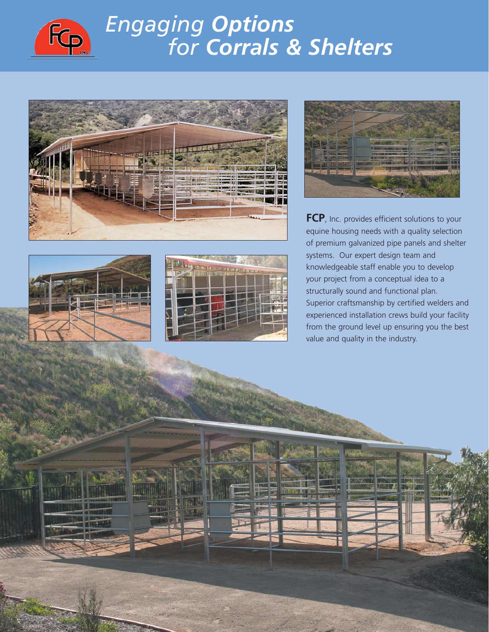

## *Engaging Options for Corrals & Shelters*









**FCP**, Inc. provides efficient solutions to your equine housing needs with a quality selection of premium galvanized pipe panels and shelter systems. Our expert design team and knowledgeable staff enable you to develop your project from a conceptual idea to a structurally sound and functional plan. Superior craftsmanship by certified welders and experienced installation crews build your facility from the ground level up ensuring you the best value and quality in the industry.